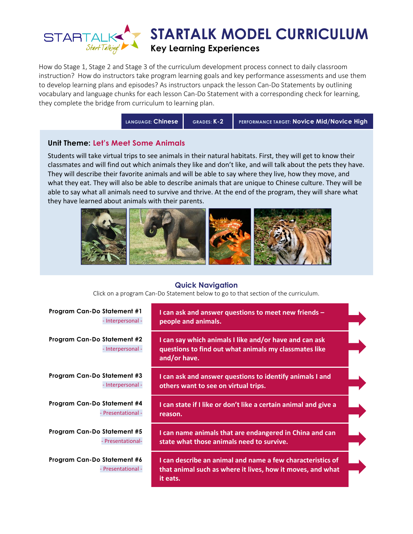

How do Stage 1, Stage 2 and Stage 3 of the curriculum development process connect to daily classroom instruction? How do instructors take program learning goals and key performance assessments and use them to develop learning plans and episodes? As instructors unpack the lesson Can-Do Statements by outlining vocabulary and language chunks for each lesson Can-Do Statement with a corresponding check for learning, they complete the bridge from curriculum to learning plan.

**LANGUAGE: Chinese GRADES: K-2 PERFORMANCE TARGET: Novice Mid/Novice High**

### **Unit Theme: Let's Meet Some Animals**

Students will take virtual trips to see animals in their natural habitats. First, they will get to know their classmates and will find out which animals they like and don't like, and will talk about the pets they have. They will describe their favorite animals and will be able to say where they live, how they move, and what they eat. They will also be able to describe animals that are unique to Chinese culture. They will be able to say what all animals need to survive and thrive. At the end of the program, they will share what they have learned about animals with their parents.



### **Quick Navigation**

Click on a program Can-Do Statement below to go to that section of the curriculum.

| <b>Program Can-Do Statement #1</b><br>- Interpersonal - | I can ask and answer questions to meet new friends -<br>people and animals.                                                          |  |
|---------------------------------------------------------|--------------------------------------------------------------------------------------------------------------------------------------|--|
| Program Can-Do Statement #2<br>- Interpersonal -        | I can say which animals I like and/or have and can ask<br>questions to find out what animals my classmates like<br>and/or have.      |  |
| Program Can-Do Statement #3<br>- Interpersonal -        | I can ask and answer questions to identify animals I and<br>others want to see on virtual trips.                                     |  |
| Program Can-Do Statement #4<br>- Presentational -       | I can state if I like or don't like a certain animal and give a<br>reason.                                                           |  |
| Program Can-Do Statement #5<br>- Presentational-        | I can name animals that are endangered in China and can<br>state what those animals need to survive.                                 |  |
| Program Can-Do Statement #6<br>- Presentational -       | I can describe an animal and name a few characteristics of<br>that animal such as where it lives, how it moves, and what<br>it eats. |  |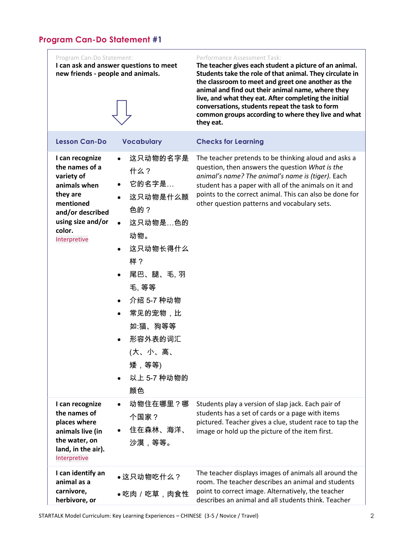<span id="page-1-0"></span>

| Program Can-Do Statement:<br>new friends - people and animals.                                                                                              | I can ask and answer questions to meet                                                                                                                                                                                                                                       | Performance Assessment Task:<br>The teacher gives each student a picture of an animal.<br>Students take the role of that animal. They circulate in<br>the classroom to meet and greet one another as the<br>animal and find out their animal name, where they<br>live, and what they eat. After completing the initial<br>conversations, students repeat the task to form<br>common groups according to where they live and what<br>they eat. |
|-------------------------------------------------------------------------------------------------------------------------------------------------------------|------------------------------------------------------------------------------------------------------------------------------------------------------------------------------------------------------------------------------------------------------------------------------|-----------------------------------------------------------------------------------------------------------------------------------------------------------------------------------------------------------------------------------------------------------------------------------------------------------------------------------------------------------------------------------------------------------------------------------------------|
| <b>Lesson Can-Do</b>                                                                                                                                        | <b>Vocabulary</b>                                                                                                                                                                                                                                                            | <b>Checks for Learning</b>                                                                                                                                                                                                                                                                                                                                                                                                                    |
| I can recognize<br>the names of a<br>variety of<br>animals when<br>they are<br>mentioned<br>and/or described<br>using size and/or<br>color.<br>Interpretive | 这只动物的名字是<br>$\bullet$<br>什么?<br>它的名字是…<br>$\bullet$<br>这只动物是什么颜<br>色的?<br>这只动物是…色的<br>动物。<br>这只动物长得什么<br>$\bullet$<br>样?<br>尾巴、腿、毛, 羽<br>毛、等等<br>介绍 5-7 种动物<br>$\bullet$<br>常见的宠物,比<br>$\bullet$<br>如:猫、狗等等<br>形容外表的词汇<br>(大、小、高、<br>矮,等等)<br>以上 5-7 种动物的<br>$\bullet$<br>颜色 | The teacher pretends to be thinking aloud and asks a<br>question, then answers the question What is the<br>animal's name? The animal's name is (tiger). Each<br>student has a paper with all of the animals on it and<br>points to the correct animal. This can also be done for<br>other question patterns and vocabulary sets.                                                                                                              |
| I can recognize<br>the names of<br>places where<br>animals live (in<br>the water, on<br>land, in the air).<br>Interpretive                                  | 动物住在哪里?哪<br>个国家?<br>住在森林、海洋、<br>$\bullet$<br>沙漠,等等。                                                                                                                                                                                                                          | Students play a version of slap jack. Each pair of<br>students has a set of cards or a page with items<br>pictured. Teacher gives a clue, student race to tap the<br>image or hold up the picture of the item first.                                                                                                                                                                                                                          |
| I can identify an<br>animal as a<br>carnivore,<br>herbivore, or                                                                                             | ●这只动物吃什么?<br>●吃肉/吃草,肉食性                                                                                                                                                                                                                                                      | The teacher displays images of animals all around the<br>room. The teacher describes an animal and students<br>point to correct image. Alternatively, the teacher<br>describes an animal and all students think. Teacher                                                                                                                                                                                                                      |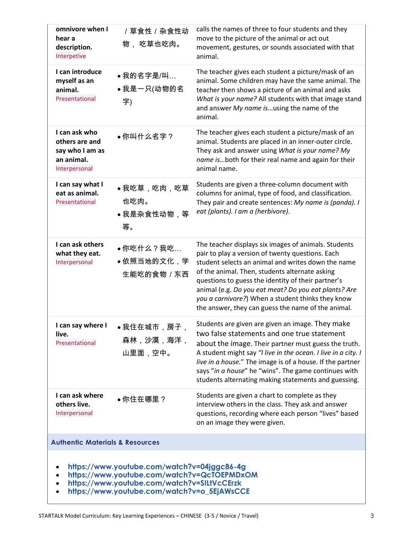| omnivore when I<br>hear a<br>description.<br>Interpetive                                                                                                                                 | / 草食性 / 杂食性动<br>物,吃草也吃肉。               | calls the names of three to four students and they<br>move to the picture of the animal or act out<br>movement, gestures, or sounds associated with that<br>animal.                                                                                                                                                                                                                                                                       |
|------------------------------------------------------------------------------------------------------------------------------------------------------------------------------------------|----------------------------------------|-------------------------------------------------------------------------------------------------------------------------------------------------------------------------------------------------------------------------------------------------------------------------------------------------------------------------------------------------------------------------------------------------------------------------------------------|
| I can introduce<br>myself as an<br>animal.<br>Presentational                                                                                                                             | ● 我的名字是/叫…<br>●我是一只(动物的名<br>字)         | The teacher gives each student a picture/mask of an<br>animal. Some children may have the same animal. The<br>teacher then shows a picture of an animal and asks<br>What is your name? All students with that image stand<br>and answer My name isusing the name of the<br>animal.                                                                                                                                                        |
| I can ask who<br>others are and<br>say who I am as<br>an animal.<br>Interpersonal                                                                                                        | ●你叫什么名字?                               | The teacher gives each student a picture/mask of an<br>animal. Students are placed in an inner-outer circle.<br>They ask and answer using What is your name? My<br>name isboth for their real name and again for their<br>animal name.                                                                                                                                                                                                    |
| I can say what I<br>eat as animal.<br>Presentational                                                                                                                                     | ●我吃草,吃肉,吃草<br>也吃肉。<br>●我是杂食性动物,等<br>等。 | Students are given a three-column document with<br>columns for animal, type of food, and classification.<br>They pair and create sentences: My name is (panda). I<br>eat (plants). I am a (herbivore).                                                                                                                                                                                                                                    |
| I can ask others<br>what they eat.<br>Interpersonal                                                                                                                                      | ●你吃什么?我吃…<br>●依照当地的文化,学<br>生能吃的食物 / 东西 | The teacher displays six images of animals. Students<br>pair to play a version of twenty questions. Each<br>student selects an animal and writes down the name<br>of the animal. Then, students alternate asking<br>questions to guess the identity of their partner's<br>animal (e.g. Do you eat meat? Do you eat plants? Are<br>you a carnivore?) When a student thinks they know<br>the answer, they can guess the name of the animal. |
| I can say where I<br>live.<br>Presentational                                                                                                                                             | 我住在城市,房子,<br>森林,沙漠,海洋,<br>山里面,空中。      | Students are given are given an image. They make<br>two false statements and one true statement<br>about the image. Their partner must guess the truth.<br>A student might say "I live in the ocean. I live in a city. I<br>live in a house." The image is of a house. If the partner<br>says "in a house" he "wins". The game continues with<br>students alternating making statements and guessing.                                     |
| I can ask where<br>others live.<br>Interpersonal                                                                                                                                         | ●你住在哪里?                                | Students are given a chart to complete as they<br>interview others in the class. They ask and answer<br>questions, recording where each person "lives" based<br>on an image they were given.                                                                                                                                                                                                                                              |
| <b>Authentic Materials &amp; Resources</b>                                                                                                                                               |                                        |                                                                                                                                                                                                                                                                                                                                                                                                                                           |
| https://www.youtube.com/watch?v=04jggc86-4g<br>https://www.youtube.com/watch?v=QcTOEPMDxOM<br>https://www.youtube.com/watch?v=SILtVcCErzk<br>https://www.youtube.com/watch?v=o_5EjAWsCCE |                                        |                                                                                                                                                                                                                                                                                                                                                                                                                                           |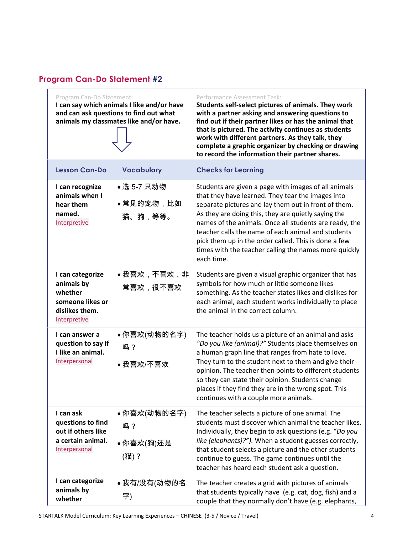<span id="page-3-0"></span>Program Can-Do Statement:

**I can say which animals I like and/or have and can ask questions to find out what animals my classmates like and/or have.**



#### Performance Assessment Task:

**Students self-select pictures of animals. They work with a partner asking and answering questions to find out if their partner likes or has the animal that that is pictured. The activity continues as students work with different partners. As they talk, they complete a graphic organizer by checking or drawing to record the information their partner shares.**

| Students are given a page with images of all animals<br>that they have learned. They tear the images into<br>separate pictures and lay them out in front of them.<br>As they are doing this, they are quietly saying the<br>names of the animals. Once all students are ready, the<br>teacher calls the name of each animal and students<br>pick them up in the order called. This is done a few<br>times with the teacher calling the names more quickly<br>each time. |
|-------------------------------------------------------------------------------------------------------------------------------------------------------------------------------------------------------------------------------------------------------------------------------------------------------------------------------------------------------------------------------------------------------------------------------------------------------------------------|
|                                                                                                                                                                                                                                                                                                                                                                                                                                                                         |

Students are given a visual graphic organizer that has symbols for how much or little someone likes something. As the teacher states likes and dislikes for each animal, each student works individually to place the animal in the correct column.

|--|

**questions to find out if others like a certain animal.**  Interpersonal 你喜欢(动物的名字) 吗? 你喜欢(狗)还是 (猫)? The teacher selects a picture of one animal. The students must discover which animal the teacher likes. Individually, they begin to ask questions (e.g. "*Do you like (elephants)?").* When a student guesses correctly, that student selects a picture and the other students continue to guess. The game continues until the teacher has heard each student ask a question. **I can categorize** 

**animals by whether**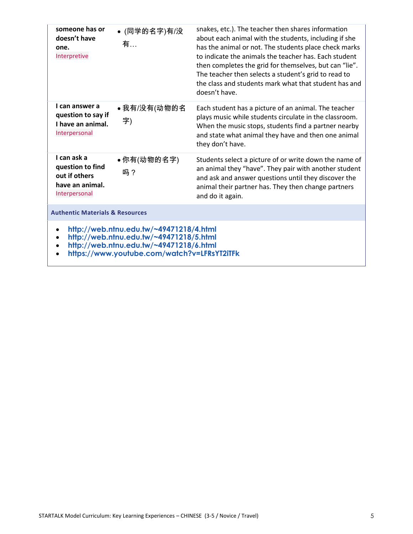| someone has or<br>doesn't have<br>one.<br>Interpretive                                                                                                                       | ● (同学的名字)有/没<br>有… | snakes, etc.). The teacher then shares information<br>about each animal with the students, including if she<br>has the animal or not. The students place check marks<br>to indicate the animals the teacher has. Each student<br>then completes the grid for themselves, but can "lie".<br>The teacher then selects a student's grid to read to<br>the class and students mark what that student has and<br>doesn't have. |
|------------------------------------------------------------------------------------------------------------------------------------------------------------------------------|--------------------|---------------------------------------------------------------------------------------------------------------------------------------------------------------------------------------------------------------------------------------------------------------------------------------------------------------------------------------------------------------------------------------------------------------------------|
| I can answer a<br>question to say if<br>I have an animal.<br>Interpersonal                                                                                                   | ●我有/没有(动物的名<br>字)  | Each student has a picture of an animal. The teacher<br>plays music while students circulate in the classroom.<br>When the music stops, students find a partner nearby<br>and state what animal they have and then one animal<br>they don't have.                                                                                                                                                                         |
| I can ask a<br>question to find<br>out if others<br>have an animal.<br>Interpersonal                                                                                         | ●你有(动物的名字)<br>吗?   | Students select a picture of or write down the name of<br>an animal they "have". They pair with another student<br>and ask and answer questions until they discover the<br>animal their partner has. They then change partners<br>and do it again.                                                                                                                                                                        |
| <b>Authentic Materials &amp; Resources</b>                                                                                                                                   |                    |                                                                                                                                                                                                                                                                                                                                                                                                                           |
| http://web.ntnu.edu.tw/~49471218/4.html<br>http://web.ntnu.edu.tw/~49471218/5.html<br>http://web.ntnu.edu.tw/~49471218/6.html<br>https://www.youtube.com/watch?v=LFRsYT2iTFk |                    |                                                                                                                                                                                                                                                                                                                                                                                                                           |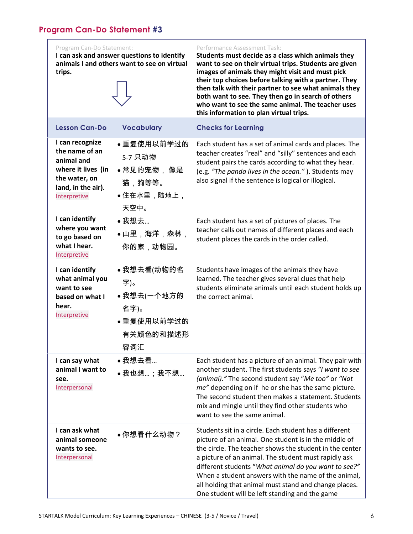<span id="page-5-0"></span>**I can ask and answer questions to identify animals I and others want to see on virtual trips.** 

#### Performance Assessment Task:

**Students must decide as a class which animals they want to see on their virtual trips. Students are given images of animals they might visit and must pick their top choices before talking with a partner. They then talk with their partner to see what animals they both want to see. They then go in search of others who want to see the same animal. The teacher uses this information to plan virtual trips.**

| <b>Lesson Can-Do</b>                                                                                                         | <b>Vocabulary</b>                                                         | <b>Checks for Learning</b>                                                                                                                                                                                                                                                                                                                                                                                                                                   |
|------------------------------------------------------------------------------------------------------------------------------|---------------------------------------------------------------------------|--------------------------------------------------------------------------------------------------------------------------------------------------------------------------------------------------------------------------------------------------------------------------------------------------------------------------------------------------------------------------------------------------------------------------------------------------------------|
| I can recognize<br>the name of an<br>animal and<br>where it lives (in<br>the water, on<br>land, in the air).<br>Interpretive | ●重复使用以前学过的<br>5-7 只动物<br>●常见的宠物, 像是<br>猫,狗等等。<br>●住在水里,陆地上,<br>天空中。       | Each student has a set of animal cards and places. The<br>teacher creates "real" and "silly" sentences and each<br>student pairs the cards according to what they hear.<br>(e.g. "The panda lives in the ocean."). Students may<br>also signal if the sentence is logical or illogical.                                                                                                                                                                      |
| I can identify<br>where you want<br>to go based on<br>what I hear.<br>Interpretive                                           | ●我想去<br>●山里,海洋,森林,<br>你的家,动物园。                                            | Each student has a set of pictures of places. The<br>teacher calls out names of different places and each<br>student places the cards in the order called.                                                                                                                                                                                                                                                                                                   |
| I can identify<br>what animal you<br>want to see<br>based on what I<br>hear.<br>Interpretive                                 | ●我想去看(动物的名<br>字)。<br>●我想去(一个地方的<br>名字)。<br>●重复使用以前学过的<br>有关颜色的和描述形<br>容词汇 | Students have images of the animals they have<br>learned. The teacher gives several clues that help<br>students eliminate animals until each student holds up<br>the correct animal.                                                                                                                                                                                                                                                                         |
| I can say what<br>animal I want to<br>see.<br>Interpersonal                                                                  | ●我想去看<br>●我也想:我不想                                                         | Each student has a picture of an animal. They pair with<br>another student. The first students says "I want to see<br>(animal)." The second student say "Me too" or "Not<br>me" depending on if he or she has the same picture.<br>The second student then makes a statement. Students<br>mix and mingle until they find other students who<br>want to see the same animal.                                                                                  |
| I can ask what<br>animal someone<br>wants to see.<br>Interpersonal                                                           | ●你想看什么动物?                                                                 | Students sit in a circle. Each student has a different<br>picture of an animal. One student is in the middle of<br>the circle. The teacher shows the student in the center<br>a picture of an animal. The student must rapidly ask<br>different students "What animal do you want to see?"<br>When a student answers with the name of the animal,<br>all holding that animal must stand and change places.<br>One student will be left standing and the game |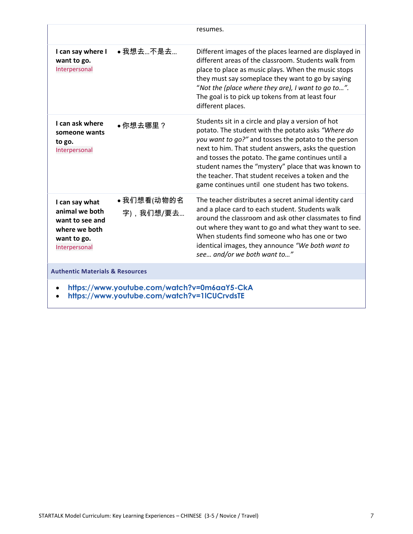|                                                                                                      |                         | resumes.                                                                                                                                                                                                                                                                                                                                                                                                                                       |
|------------------------------------------------------------------------------------------------------|-------------------------|------------------------------------------------------------------------------------------------------------------------------------------------------------------------------------------------------------------------------------------------------------------------------------------------------------------------------------------------------------------------------------------------------------------------------------------------|
| I can say where I<br>want to go.<br>Interpersonal                                                    | ● 我想去不是去                | Different images of the places learned are displayed in<br>different areas of the classroom. Students walk from<br>place to place as music plays. When the music stops<br>they must say someplace they want to go by saying<br>"Not the (place where they are), I want to go to".<br>The goal is to pick up tokens from at least four<br>different places.                                                                                     |
| I can ask where<br>someone wants<br>to go.<br>Interpersonal                                          | ●你想去哪里?                 | Students sit in a circle and play a version of hot<br>potato. The student with the potato asks "Where do<br>you want to go?" and tosses the potato to the person<br>next to him. That student answers, asks the question<br>and tosses the potato. The game continues until a<br>student names the "mystery" place that was known to<br>the teacher. That student receives a token and the<br>game continues until one student has two tokens. |
| I can say what<br>animal we both<br>want to see and<br>where we both<br>want to go.<br>Interpersonal | ●我们想看(动物的名<br>字),我们想/要去 | The teacher distributes a secret animal identity card<br>and a place card to each student. Students walk<br>around the classroom and ask other classmates to find<br>out where they want to go and what they want to see.<br>When students find someone who has one or two<br>identical images, they announce "We both want to<br>see and/or we both want to"                                                                                  |
| <b>Authentic Materials &amp; Resources</b>                                                           |                         |                                                                                                                                                                                                                                                                                                                                                                                                                                                |
| https://www.youtube.com/watch?v=0m6aaY5-CkA<br>https://www.youtube.com/watch?v=1ICUCrvdsTE           |                         |                                                                                                                                                                                                                                                                                                                                                                                                                                                |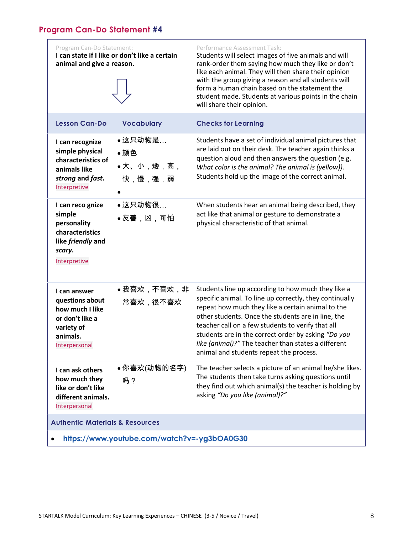<span id="page-7-0"></span>

| Program Can-Do Statement:<br>animal and give a reason.                                                           | I can state if I like or don't like a certain | Performance Assessment Task:<br>Students will select images of five animals and will<br>rank-order them saying how much they like or don't<br>like each animal. They will then share their opinion<br>with the group giving a reason and all students will<br>form a human chain based on the statement the<br>student made. Students at various points in the chain<br>will share their opinion.                                      |
|------------------------------------------------------------------------------------------------------------------|-----------------------------------------------|----------------------------------------------------------------------------------------------------------------------------------------------------------------------------------------------------------------------------------------------------------------------------------------------------------------------------------------------------------------------------------------------------------------------------------------|
| <b>Lesson Can-Do</b>                                                                                             | <b>Vocabulary</b>                             | <b>Checks for Learning</b>                                                                                                                                                                                                                                                                                                                                                                                                             |
| I can recognize<br>simple physical<br>characteristics of<br>animals like<br>strong and fast.<br>Interpretive     | ●这只动物是…<br>●颜色<br>•大、小,矮,高,<br>快,慢,强,弱        | Students have a set of individual animal pictures that<br>are laid out on their desk. The teacher again thinks a<br>question aloud and then answers the question (e.g.<br>What color is the animal? The animal is (yellow)).<br>Students hold up the image of the correct animal.                                                                                                                                                      |
| I can reco gnize<br>simple<br>personality<br>characteristics<br>like friendly and<br>scary.<br>Interpretive      | ●这只动物很…<br>●友善,凶,可怕                           | When students hear an animal being described, they<br>act like that animal or gesture to demonstrate a<br>physical characteristic of that animal.                                                                                                                                                                                                                                                                                      |
| I can answer<br>questions about<br>how much I like<br>or don't like a<br>variety of<br>animals.<br>Interpersonal | ●我喜欢,不喜欢,非<br>常喜欢,很不喜欢                        | Students line up according to how much they like a<br>specific animal. To line up correctly, they continually<br>repeat how much they like a certain animal to the<br>other students. Once the students are in line, the<br>teacher call on a few students to verify that all<br>students are in the correct order by asking "Do you<br>like (animal)?" The teacher than states a different<br>animal and students repeat the process. |
| I can ask others<br>how much they<br>like or don't like<br>different animals.<br>Interpersonal                   | ●你喜欢(动物的名字)<br>吗?                             | The teacher selects a picture of an animal he/she likes.<br>The students then take turns asking questions until<br>they find out which animal(s) the teacher is holding by<br>asking "Do you like (animal)?"                                                                                                                                                                                                                           |
| <b>Authentic Materials &amp; Resources</b>                                                                       |                                               |                                                                                                                                                                                                                                                                                                                                                                                                                                        |
| https://www.youtube.com/watch?v=-yg3bOA0G30                                                                      |                                               |                                                                                                                                                                                                                                                                                                                                                                                                                                        |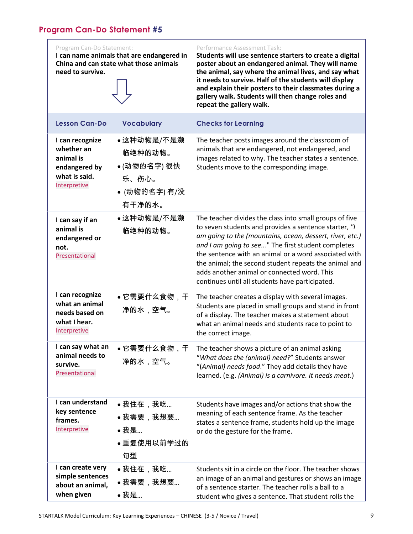<span id="page-8-0"></span>

| Program Can-Do Statement:<br>need to survive.                                                | I can name animals that are endangered in<br>China and can state what those animals | Performance Assessment Task:<br>Students will use sentence starters to create a digital<br>poster about an endangered animal. They will name<br>the animal, say where the animal lives, and say what<br>it needs to survive. Half of the students will display<br>and explain their posters to their classmates during a<br>gallery walk. Students will then change roles and<br>repeat the gallery walk.                                              |
|----------------------------------------------------------------------------------------------|-------------------------------------------------------------------------------------|--------------------------------------------------------------------------------------------------------------------------------------------------------------------------------------------------------------------------------------------------------------------------------------------------------------------------------------------------------------------------------------------------------------------------------------------------------|
| <b>Lesson Can-Do</b>                                                                         | <b>Vocabulary</b>                                                                   | <b>Checks for Learning</b>                                                                                                                                                                                                                                                                                                                                                                                                                             |
| I can recognize<br>whether an<br>animal is<br>endangered by<br>what is said.<br>Interpretive | ●这种动物是/不是濒<br>临绝种的动物。<br>●(动物的名字) 很快<br>乐、伤心。<br>• (动物的名字) 有/没<br>有干净的水。            | The teacher posts images around the classroom of<br>animals that are endangered, not endangered, and<br>images related to why. The teacher states a sentence.<br>Students move to the corresponding image.                                                                                                                                                                                                                                             |
| I can say if an<br>animal is<br>endangered or<br>not.<br>Presentational                      | ●这种动物是/不是濒<br>临绝种的动物。                                                               | The teacher divides the class into small groups of five<br>to seven students and provides a sentence starter, "I<br>am going to the (mountains, ocean, dessert, river, etc.)<br>and I am going to see" The first student completes<br>the sentence with an animal or a word associated with<br>the animal; the second student repeats the animal and<br>adds another animal or connected word. This<br>continues until all students have participated. |
| I can recognize<br>what an animal<br>needs based on<br>what I hear.<br>Interpretive          | ●它需要什么食物,干<br>净的水,空气。                                                               | The teacher creates a display with several images.<br>Students are placed in small groups and stand in front<br>of a display. The teacher makes a statement about<br>what an animal needs and students race to point to<br>the correct image.                                                                                                                                                                                                          |
| I can say what an<br>animal needs to<br>survive.<br>Presentational                           | ●它需要什么食物,干<br>净的水,空气。                                                               | The teacher shows a picture of an animal asking<br>"What does the (animal) need?" Students answer<br>"(Animal) needs food." They add details they have<br>learned. (e.g. (Animal) is a carnivore. It needs meat.)                                                                                                                                                                                                                                      |
| I can understand<br>key sentence<br>frames.<br>Interpretive                                  | ●我住在,我吃<br>●我需要,我想要<br>● 我是<br>●重复使用以前学过的<br>句型                                     | Students have images and/or actions that show the<br>meaning of each sentence frame. As the teacher<br>states a sentence frame, students hold up the image<br>or do the gesture for the frame.                                                                                                                                                                                                                                                         |
| I can create very<br>simple sentences<br>about an animal,<br>when given                      | ●我住在,我吃<br>●我需要,我想要<br>●我是                                                          | Students sit in a circle on the floor. The teacher shows<br>an image of an animal and gestures or shows an image<br>of a sentence starter. The teacher rolls a ball to a<br>student who gives a sentence. That student rolls the                                                                                                                                                                                                                       |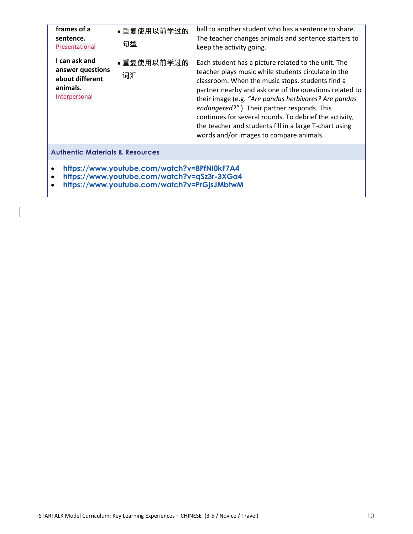| frames of a<br>sentence.<br>Presentational                                        | ●重复使用以前学过的<br>句型 | ball to another student who has a sentence to share.<br>The teacher changes animals and sentence starters to<br>keep the activity going.                                                                                                                                                                                                                                                                                                                                                       |
|-----------------------------------------------------------------------------------|------------------|------------------------------------------------------------------------------------------------------------------------------------------------------------------------------------------------------------------------------------------------------------------------------------------------------------------------------------------------------------------------------------------------------------------------------------------------------------------------------------------------|
| I can ask and<br>answer questions<br>about different<br>animals.<br>Interpersonal | ●重复使用以前学过的<br>词汇 | Each student has a picture related to the unit. The<br>teacher plays music while students circulate in the<br>classroom. When the music stops, students find a<br>partner nearby and ask one of the questions related to<br>their image (e.g. "Are pandas herbivores? Are pandas<br>endangered?"). Their partner responds. This<br>continues for several rounds. To debrief the activity,<br>the teacher and students fill in a large T-chart using<br>words and/or images to compare animals. |
| <b>Authentic Materials &amp; Resources</b>                                        |                  |                                                                                                                                                                                                                                                                                                                                                                                                                                                                                                |
| https://www.youtube.com/watch?v=8PfNI0kF7A4                                       |                  |                                                                                                                                                                                                                                                                                                                                                                                                                                                                                                |

- **<https://www.youtube.com/watch?v=qSz3r-3XGa4>**
- **<https://www.youtube.com/watch?v=PrGjsJMbtwM>**

 $\overline{\phantom{a}}$